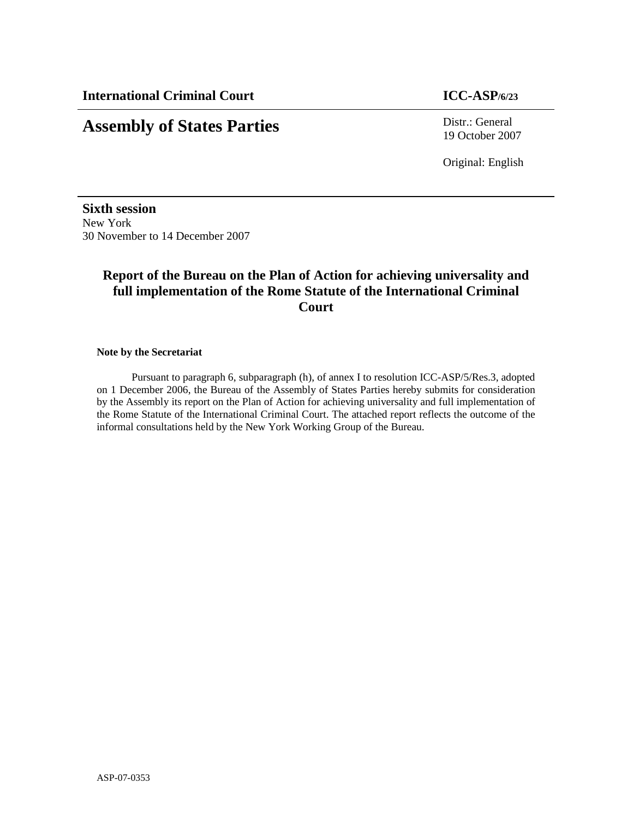# **Assembly of States Parties** Distr.: General

19 October 2007

Original: English

**Sixth session**  New York 30 November to 14 December 2007

# **Report of the Bureau on the Plan of Action for achieving universality and full implementation of the Rome Statute of the International Criminal Court**

**Note by the Secretariat** 

Pursuant to paragraph 6, subparagraph (h), of annex I to resolution ICC-ASP/5/Res.3, adopted on 1 December 2006, the Bureau of the Assembly of States Parties hereby submits for consideration by the Assembly its report on the Plan of Action for achieving universality and full implementation of the Rome Statute of the International Criminal Court. The attached report reflects the outcome of the informal consultations held by the New York Working Group of the Bureau.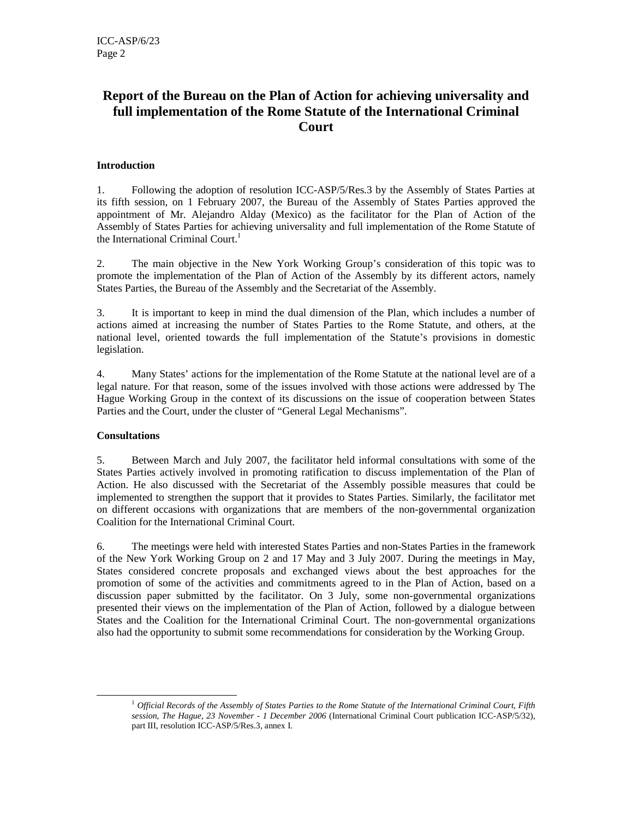# **Report of the Bureau on the Plan of Action for achieving universality and full implementation of the Rome Statute of the International Criminal Court**

## **Introduction**

1. Following the adoption of resolution ICC-ASP/5/Res.3 by the Assembly of States Parties at its fifth session, on 1 February 2007, the Bureau of the Assembly of States Parties approved the appointment of Mr. Alejandro Alday (Mexico) as the facilitator for the Plan of Action of the Assembly of States Parties for achieving universality and full implementation of the Rome Statute of the International Criminal Court.<sup>1</sup>

2. The main objective in the New York Working Group's consideration of this topic was to promote the implementation of the Plan of Action of the Assembly by its different actors, namely States Parties, the Bureau of the Assembly and the Secretariat of the Assembly.

3. It is important to keep in mind the dual dimension of the Plan, which includes a number of actions aimed at increasing the number of States Parties to the Rome Statute, and others, at the national level, oriented towards the full implementation of the Statute's provisions in domestic legislation.

4. Many States' actions for the implementation of the Rome Statute at the national level are of a legal nature. For that reason, some of the issues involved with those actions were addressed by The Hague Working Group in the context of its discussions on the issue of cooperation between States Parties and the Court, under the cluster of "General Legal Mechanisms".

## **Consultations**

-

5. Between March and July 2007, the facilitator held informal consultations with some of the States Parties actively involved in promoting ratification to discuss implementation of the Plan of Action. He also discussed with the Secretariat of the Assembly possible measures that could be implemented to strengthen the support that it provides to States Parties. Similarly, the facilitator met on different occasions with organizations that are members of the non-governmental organization Coalition for the International Criminal Court.

6. The meetings were held with interested States Parties and non-States Parties in the framework of the New York Working Group on 2 and 17 May and 3 July 2007. During the meetings in May, States considered concrete proposals and exchanged views about the best approaches for the promotion of some of the activities and commitments agreed to in the Plan of Action, based on a discussion paper submitted by the facilitator. On 3 July, some non-governmental organizations presented their views on the implementation of the Plan of Action, followed by a dialogue between States and the Coalition for the International Criminal Court. The non-governmental organizations also had the opportunity to submit some recommendations for consideration by the Working Group.

<sup>&</sup>lt;sup>1</sup> Official Records of the Assembly of States Parties to the Rome Statute of the International Criminal Court, Fifth *session, The Hague, 23 November - 1 December 2006* (International Criminal Court publication ICC-ASP/5/32), part III, resolution ICC-ASP/5/Res.3, annex I.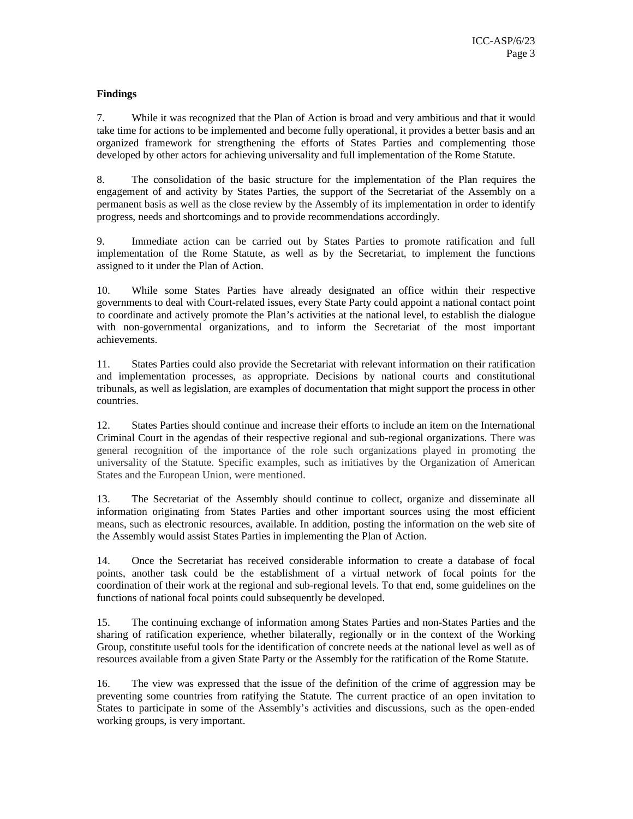### **Findings**

7. While it was recognized that the Plan of Action is broad and very ambitious and that it would take time for actions to be implemented and become fully operational, it provides a better basis and an organized framework for strengthening the efforts of States Parties and complementing those developed by other actors for achieving universality and full implementation of the Rome Statute.

8. The consolidation of the basic structure for the implementation of the Plan requires the engagement of and activity by States Parties, the support of the Secretariat of the Assembly on a permanent basis as well as the close review by the Assembly of its implementation in order to identify progress, needs and shortcomings and to provide recommendations accordingly.

9. Immediate action can be carried out by States Parties to promote ratification and full implementation of the Rome Statute, as well as by the Secretariat, to implement the functions assigned to it under the Plan of Action.

10. While some States Parties have already designated an office within their respective governments to deal with Court-related issues, every State Party could appoint a national contact point to coordinate and actively promote the Plan's activities at the national level, to establish the dialogue with non-governmental organizations, and to inform the Secretariat of the most important achievements.

11. States Parties could also provide the Secretariat with relevant information on their ratification and implementation processes, as appropriate. Decisions by national courts and constitutional tribunals, as well as legislation, are examples of documentation that might support the process in other countries.

12. States Parties should continue and increase their efforts to include an item on the International Criminal Court in the agendas of their respective regional and sub-regional organizations. There was general recognition of the importance of the role such organizations played in promoting the universality of the Statute. Specific examples, such as initiatives by the Organization of American States and the European Union, were mentioned.

13. The Secretariat of the Assembly should continue to collect, organize and disseminate all information originating from States Parties and other important sources using the most efficient means, such as electronic resources, available. In addition, posting the information on the web site of the Assembly would assist States Parties in implementing the Plan of Action.

14. Once the Secretariat has received considerable information to create a database of focal points, another task could be the establishment of a virtual network of focal points for the coordination of their work at the regional and sub-regional levels. To that end, some guidelines on the functions of national focal points could subsequently be developed.

15. The continuing exchange of information among States Parties and non-States Parties and the sharing of ratification experience, whether bilaterally, regionally or in the context of the Working Group, constitute useful tools for the identification of concrete needs at the national level as well as of resources available from a given State Party or the Assembly for the ratification of the Rome Statute.

16. The view was expressed that the issue of the definition of the crime of aggression may be preventing some countries from ratifying the Statute. The current practice of an open invitation to States to participate in some of the Assembly's activities and discussions, such as the open-ended working groups, is very important.